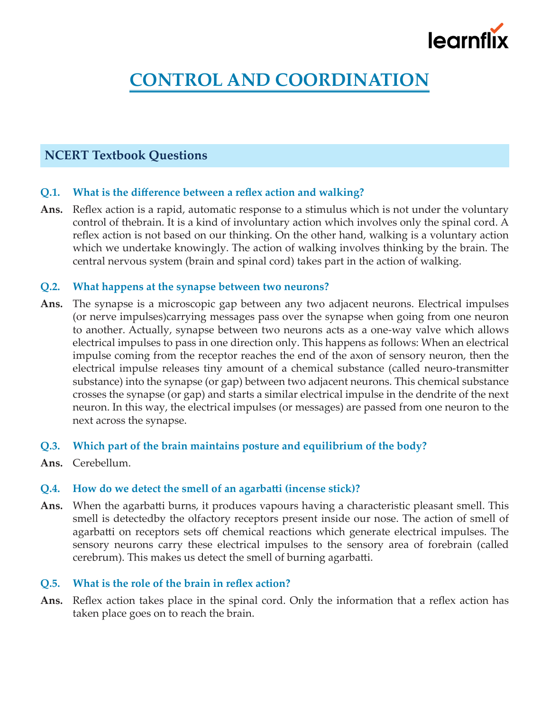

# **CONTROL AND COORDINATION**

# **NCERT Textbook Questions**

# **Q.1. What is the difference between a reflex action and walking?**

**Ans.** Reflex action is a rapid, automatic response to a stimulus which is not under the voluntary control of thebrain. It is a kind of involuntary action which involves only the spinal cord. A reflex action is not based on our thinking. On the other hand, walking is a voluntary action which we undertake knowingly. The action of walking involves thinking by the brain. The central nervous system (brain and spinal cord) takes part in the action of walking.

# **Q.2. What happens at the synapse between two neurons?**

**Ans.** The synapse is a microscopic gap between any two adjacent neurons. Electrical impulses (or nerve impulses)carrying messages pass over the synapse when going from one neuron to another. Actually, synapse between two neurons acts as a one-way valve which allows electrical impulses to pass in one direction only. This happens as follows: When an electrical impulse coming from the receptor reaches the end of the axon of sensory neuron, then the electrical impulse releases tiny amount of a chemical substance (called neuro-transmitter substance) into the synapse (or gap) between two adjacent neurons. This chemical substance crosses the synapse (or gap) and starts a similar electrical impulse in the dendrite of the next neuron. In this way, the electrical impulses (or messages) are passed from one neuron to the next across the synapse.

# **Q.3. Which part of the brain maintains posture and equilibrium of the body?**

**Ans.** Cerebellum.

# **Q.4. How do we detect the smell of an agarbatti (incense stick)?**

**Ans.** When the agarbatti burns, it produces vapours having a characteristic pleasant smell. This smell is detectedby the olfactory receptors present inside our nose. The action of smell of agarbatti on receptors sets off chemical reactions which generate electrical impulses. The sensory neurons carry these electrical impulses to the sensory area of forebrain (called cerebrum). This makes us detect the smell of burning agarbatti.

# **Q.5. What is the role of the brain in reflex action?**

**Ans.** Reflex action takes place in the spinal cord. Only the information that a reflex action has taken place goes on to reach the brain.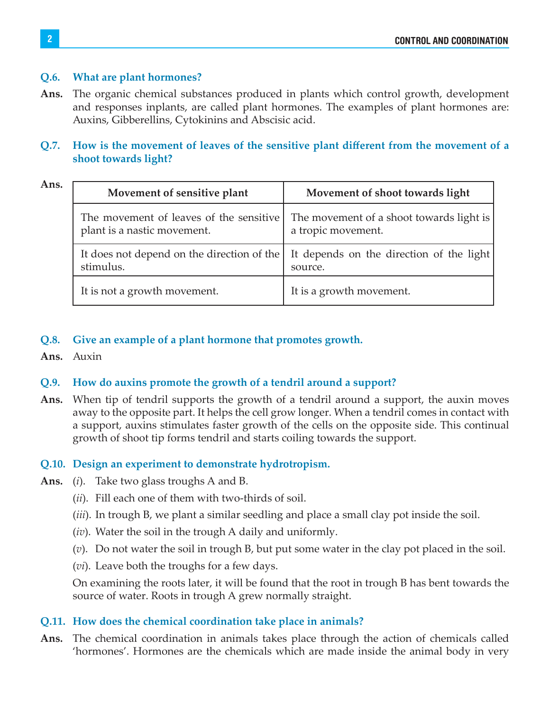# **Q.6. What are plant hormones?**

**Ans.** The organic chemical substances produced in plants which control growth, development and responses inplants, are called plant hormones. The examples of plant hormones are: Auxins, Gibberellins, Cytokinins and Abscisic acid.

# **Q.7. How is the movement of leaves of the sensitive plant different from the movement of a shoot towards light?**

#### **Ans.**

| Movement of sensitive plant                | Movement of shoot towards light          |
|--------------------------------------------|------------------------------------------|
| The movement of leaves of the sensitive    | The movement of a shoot towards light is |
| plant is a nastic movement.                | a tropic movement.                       |
| It does not depend on the direction of the | It depends on the direction of the light |
| stimulus.                                  | source.                                  |
| It is not a growth movement.               | It is a growth movement.                 |

# **Q.8. Give an example of a plant hormone that promotes growth.**

Ans. Auxin

# **Q.9. How do auxins promote the growth of a tendril around a support?**

**Ans.** When tip of tendril supports the growth of a tendril around a support, the auxin moves away to the opposite part. It helps the cell grow longer. When a tendril comes in contact with a support, auxins stimulates faster growth of the cells on the opposite side. This continual growth of shoot tip forms tendril and starts coiling towards the support.

# **Q.10. Design an experiment to demonstrate hydrotropism.**

- Ans. (*i*). Take two glass troughs A and B.
	- (*ii*). Fill each one of them with two-thirds of soil.
	- (*iii*). In trough B, we plant a similar seedling and place a small clay pot inside the soil.
	- (*iv*). Water the soil in the trough A daily and uniformly.
	- (*v*). Do not water the soil in trough B, but put some water in the clay pot placed in the soil.
	- (*vi*). Leave both the troughs for a few days.

On examining the roots later, it will be found that the root in trough B has bent towards the source of water. Roots in trough A grew normally straight.

# **Q.11. How does the chemical coordination take place in animals?**

**Ans.** The chemical coordination in animals takes place through the action of chemicals called 'hormones'. Hormones are the chemicals which are made inside the animal body in very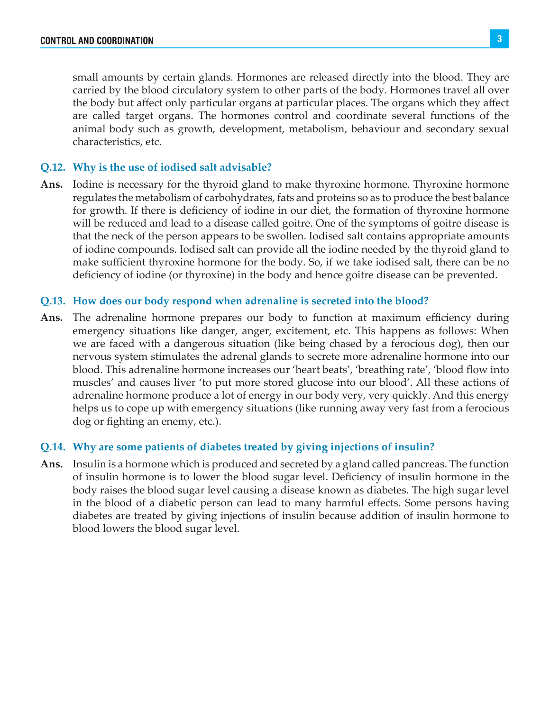small amounts by certain glands. Hormones are released directly into the blood. They are carried by the blood circulatory system to other parts of the body. Hormones travel all over the body but affect only particular organs at particular places. The organs which they affect are called target organs. The hormones control and coordinate several functions of the animal body such as growth, development, metabolism, behaviour and secondary sexual characteristics, etc.

#### **Q.12. Why is the use of iodised salt advisable?**

**Ans.** Iodine is necessary for the thyroid gland to make thyroxine hormone. Thyroxine hormone regulates the metabolism of carbohydrates, fats and proteins so as to produce the best balance for growth. If there is deficiency of iodine in our diet, the formation of thyroxine hormone will be reduced and lead to a disease called goitre. One of the symptoms of goitre disease is that the neck of the person appears to be swollen. Iodised salt contains appropriate amounts of iodine compounds. Iodised salt can provide all the iodine needed by the thyroid gland to make sufficient thyroxine hormone for the body. So, if we take iodised salt, there can be no deficiency of iodine (or thyroxine) in the body and hence goitre disease can be prevented.

#### **Q.13. How does our body respond when adrenaline is secreted into the blood?**

**Ans.** The adrenaline hormone prepares our body to function at maximum efficiency during emergency situations like danger, anger, excitement, etc. This happens as follows: When we are faced with a dangerous situation (like being chased by a ferocious dog), then our nervous system stimulates the adrenal glands to secrete more adrenaline hormone into our blood. This adrenaline hormone increases our 'heart beats', 'breathing rate', 'blood flow into muscles' and causes liver 'to put more stored glucose into our blood'. All these actions of adrenaline hormone produce a lot of energy in our body very, very quickly. And this energy helps us to cope up with emergency situations (like running away very fast from a ferocious dog or fighting an enemy, etc.).

#### **Q.14. Why are some patients of diabetes treated by giving injections of insulin?**

**Ans.** Insulin is a hormone which is produced and secreted by a gland called pancreas. The function of insulin hormone is to lower the blood sugar level. Deficiency of insulin hormone in the body raises the blood sugar level causing a disease known as diabetes. The high sugar level in the blood of a diabetic person can lead to many harmful effects. Some persons having diabetes are treated by giving injections of insulin because addition of insulin hormone to blood lowers the blood sugar level.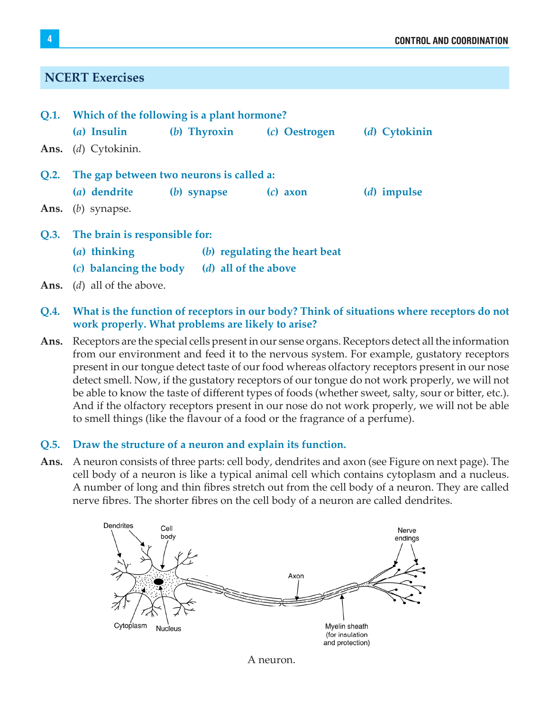# **NCERT Exercises**

|         | Q.1. Which of the following is a plant hormone? |  |                               |                      |  |
|---------|-------------------------------------------------|--|-------------------------------|----------------------|--|
|         | (a) Insulin (b) Thyroxin (c) Oestrogen          |  |                               | (d) Cytokinin        |  |
|         | Ans. (d) Cytokinin.                             |  |                               |                      |  |
| $O.2$ . | The gap between two neurons is called a:        |  |                               |                      |  |
|         | (a) dendrite (b) synapse                        |  | $(c)$ axon                    | ( <i>d</i> ) impulse |  |
|         | <b>Ans.</b> (b) synapse.                        |  |                               |                      |  |
|         | Q.3. The brain is responsible for:              |  |                               |                      |  |
|         | (a) thinking                                    |  | (b) regulating the heart beat |                      |  |
|         | (c) balancing the body $(d)$ all of the above   |  |                               |                      |  |
| Ans.    | ( <i>d</i> ) all of the above.                  |  |                               |                      |  |

# **Q.4. What is the function of receptors in our body? Think of situations where receptors do not work properly. What problems are likely to arise?**

Ans. Receptors are the special cells present in our sense organs. Receptors detect all the information from our environment and feed it to the nervous system. For example, gustatory receptors present in our tongue detect taste of our food whereas olfactory receptors present in our nose detect smell. Now, if the gustatory receptors of our tongue do not work properly, we will not be able to know the taste of different types of foods (whether sweet, salty, sour or bitter, etc.). And if the olfactory receptors present in our nose do not work properly, we will not be able to smell things (like the flavour of a food or the fragrance of a perfume).

### **Q.5. Draw the structure of a neuron and explain its function.**

**Ans.** A neuron consists of three parts: cell body, dendrites and axon (see Figure on next page). The cell body of a neuron is like a typical animal cell which contains cytoplasm and a nucleus. A number of long and thin fibres stretch out from the cell body of a neuron. They are called nerve fibres. The shorter fibres on the cell body of a neuron are called dendrites.

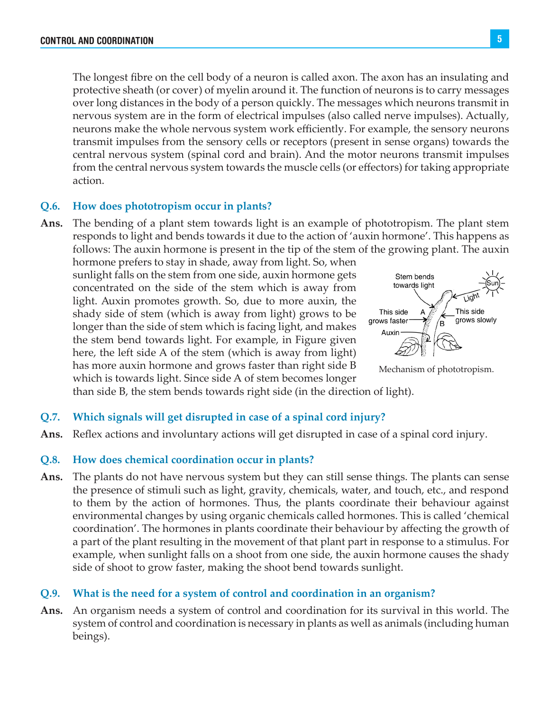The longest fibre on the cell body of a neuron is called axon. The axon has an insulating and protective sheath (or cover) of myelin around it. The function of neurons is to carry messages over long distances in the body of a person quickly. The messages which neurons transmit in nervous system are in the form of electrical impulses (also called nerve impulses). Actually, neurons make the whole nervous system work efficiently. For example, the sensory neurons transmit impulses from the sensory cells or receptors (present in sense organs) towards the central nervous system (spinal cord and brain). And the motor neurons transmit impulses from the central nervous system towards the muscle cells (or effectors) for taking appropriate action.

#### **Q.6. How does phototropism occur in plants?**

**Ans.** The bending of a plant stem towards light is an example of phototropism. The plant stem responds to light and bends towards it due to the action of 'auxin hormone'. This happens as follows: The auxin hormone is present in the tip of the stem of the growing plant. The auxin

hormone prefers to stay in shade, away from light. So, when sunlight falls on the stem from one side, auxin hormone gets concentrated on the side of the stem which is away from light. Auxin promotes growth. So, due to more auxin, the shady side of stem (which is away from light) grows to be longer than the side of stem which is facing light, and makes the stem bend towards light. For example, in Figure given here, the left side A of the stem (which is away from light) has more auxin hormone and grows faster than right side B which is towards light. Since side A of stem becomes longer



Mechanism of phototropism.

than side B, the stem bends towards right side (in the direction of light).

#### **Q.7. Which signals will get disrupted in case of a spinal cord injury?**

Ans. Reflex actions and involuntary actions will get disrupted in case of a spinal cord injury.

#### **Q.8. How does chemical coordination occur in plants?**

**Ans.** The plants do not have nervous system but they can still sense things. The plants can sense the presence of stimuli such as light, gravity, chemicals, water, and touch, etc., and respond to them by the action of hormones. Thus, the plants coordinate their behaviour against environmental changes by using organic chemicals called hormones. This is called 'chemical coordination'. The hormones in plants coordinate their behaviour by affecting the growth of a part of the plant resulting in the movement of that plant part in response to a stimulus. For example, when sunlight falls on a shoot from one side, the auxin hormone causes the shady side of shoot to grow faster, making the shoot bend towards sunlight.

#### **Q.9. What is the need for a system of control and coordination in an organism?**

**Ans.** An organism needs a system of control and coordination for its survival in this world. The system of control and coordination is necessary in plants as well as animals (including human beings).